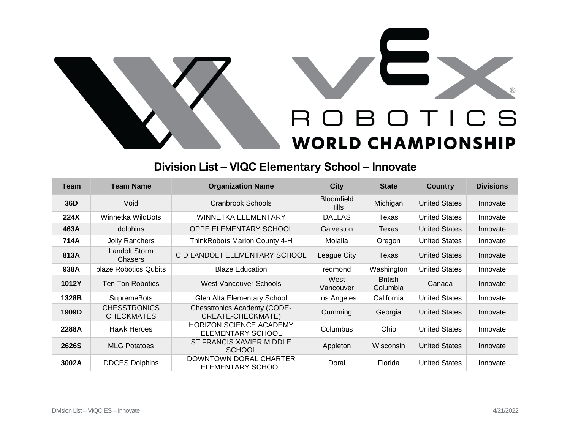

## **Division List – VIQC Elementary School – Innovate**

| <b>Team</b>  | <b>Team Name</b>                         | <b>Organization Name</b>                                   | <b>City</b>                       | <b>State</b>               | <b>Country</b>       | <b>Divisions</b> |
|--------------|------------------------------------------|------------------------------------------------------------|-----------------------------------|----------------------------|----------------------|------------------|
| 36D          | Void                                     | Cranbrook Schools                                          | <b>Bloomfield</b><br><b>Hills</b> | Michigan                   | <b>United States</b> | Innovate         |
| 224X         | Winnetka WildBots                        | <b>WINNETKA ELEMENTARY</b>                                 | <b>DALLAS</b>                     | Texas                      | <b>United States</b> | Innovate         |
| 463A         | dolphins                                 | OPPE ELEMENTARY SCHOOL                                     | Galveston                         | Texas                      | <b>United States</b> | Innovate         |
| 714A         | Jolly Ranchers                           | ThinkRobots Marion County 4-H                              | Molalla                           | Oregon                     | <b>United States</b> | Innovate         |
| 813A         | Landolt Storm<br>Chasers                 | C D LANDOLT ELEMENTARY SCHOOL                              | League City                       | Texas                      | <b>United States</b> | Innovate         |
| 938A         | blaze Robotics Qubits                    | <b>Blaze Education</b>                                     | redmond                           | Washington                 | <b>United States</b> | Innovate         |
| 1012Y        | <b>Ten Ton Robotics</b>                  | West Vancouver Schools                                     | West<br>Vancouver                 | <b>British</b><br>Columbia | Canada               | Innovate         |
| 1328B        | <b>SupremeBots</b>                       | Glen Alta Elementary School                                | Los Angeles                       | California                 | <b>United States</b> | Innovate         |
| 1909D        | <b>CHESSTRONICS</b><br><b>CHECKMATES</b> | <b>Chesstronics Academy (CODE-</b><br>CREATE-CHECKMATE)    | Cumming                           | Georgia                    | <b>United States</b> | Innovate         |
| 2288A        | <b>Hawk Heroes</b>                       | <b>HORIZON SCIENCE ACADEMY</b><br><b>ELEMENTARY SCHOOL</b> | Columbus                          | Ohio                       | <b>United States</b> | Innovate         |
| <b>2626S</b> | <b>MLG Potatoes</b>                      | ST FRANCIS XAVIER MIDDLE<br><b>SCHOOL</b>                  | Appleton                          | Wisconsin                  | <b>United States</b> | Innovate         |
| 3002A        | <b>DDCES Dolphins</b>                    | DOWNTOWN DORAL CHARTER<br>ELEMENTARY SCHOOL                | Doral                             | Florida                    | <b>United States</b> | Innovate         |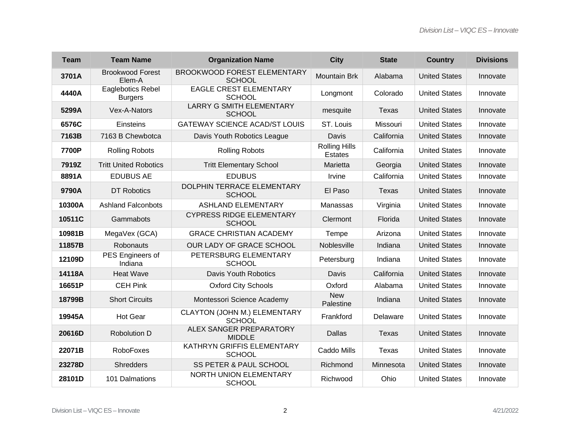| <b>Team</b> | <b>Team Name</b>                    | <b>Organization Name</b>                            | <b>City</b>                            | <b>State</b> | <b>Country</b>       | <b>Divisions</b> |
|-------------|-------------------------------------|-----------------------------------------------------|----------------------------------------|--------------|----------------------|------------------|
| 3701A       | <b>Brookwood Forest</b><br>Elem-A   | <b>BROOKWOOD FOREST ELEMENTARY</b><br><b>SCHOOL</b> | <b>Mountain Brk</b>                    | Alabama      | <b>United States</b> | Innovate         |
| 4440A       | Eaglebotics Rebel<br><b>Burgers</b> | <b>EAGLE CREST ELEMENTARY</b><br><b>SCHOOL</b>      | Longmont                               | Colorado     | <b>United States</b> | Innovate         |
| 5299A       | Vex-A-Nators                        | <b>LARRY G SMITH ELEMENTARY</b><br><b>SCHOOL</b>    | mesquite                               | Texas        | <b>United States</b> | Innovate         |
| 6576C       | Einsteins                           | <b>GATEWAY SCIENCE ACAD/ST LOUIS</b>                | ST. Louis                              | Missouri     | <b>United States</b> | Innovate         |
| 7163B       | 7163 B Chewbotca                    | Davis Youth Robotics League                         | Davis                                  | California   | <b>United States</b> | Innovate         |
| 7700P       | <b>Rolling Robots</b>               | <b>Rolling Robots</b>                               | <b>Rolling Hills</b><br><b>Estates</b> | California   | <b>United States</b> | Innovate         |
| 7919Z       | <b>Tritt United Robotics</b>        | <b>Tritt Elementary School</b>                      | Marietta                               | Georgia      | <b>United States</b> | Innovate         |
| 8891A       | <b>EDUBUS AE</b>                    | <b>EDUBUS</b>                                       | Irvine                                 | California   | <b>United States</b> | Innovate         |
| 9790A       | DT Robotics                         | DOLPHIN TERRACE ELEMENTARY<br><b>SCHOOL</b>         | El Paso                                | Texas        | <b>United States</b> | Innovate         |
| 10300A      | <b>Ashland Falconbots</b>           | <b>ASHLAND ELEMENTARY</b>                           | Manassas                               | Virginia     | <b>United States</b> | Innovate         |
| 10511C      | Gammabots                           | <b>CYPRESS RIDGE ELEMENTARY</b><br><b>SCHOOL</b>    | Clermont                               | Florida      | <b>United States</b> | Innovate         |
| 10981B      | MegaVex (GCA)                       | <b>GRACE CHRISTIAN ACADEMY</b>                      | Tempe                                  | Arizona      | <b>United States</b> | Innovate         |
| 11857B      | Robonauts                           | OUR LADY OF GRACE SCHOOL                            | Noblesville                            | Indiana      | <b>United States</b> | Innovate         |
| 12109D      | PES Engineers of<br>Indiana         | PETERSBURG ELEMENTARY<br><b>SCHOOL</b>              | Petersburg                             | Indiana      | <b>United States</b> | Innovate         |
| 14118A      | <b>Heat Wave</b>                    | Davis Youth Robotics                                | Davis                                  | California   | <b>United States</b> | Innovate         |
| 16651P      | <b>CEH Pink</b>                     | <b>Oxford City Schools</b>                          | Oxford                                 | Alabama      | <b>United States</b> | Innovate         |
| 18799B      | <b>Short Circuits</b>               | Montessori Science Academy                          | <b>New</b><br>Palestine                | Indiana      | <b>United States</b> | Innovate         |
| 19945A      | <b>Hot Gear</b>                     | CLAYTON (JOHN M.) ELEMENTARY<br><b>SCHOOL</b>       | Frankford                              | Delaware     | <b>United States</b> | Innovate         |
| 20616D      | <b>Robolution D</b>                 | ALEX SANGER PREPARATORY<br><b>MIDDLE</b>            | <b>Dallas</b>                          | Texas        | <b>United States</b> | Innovate         |
| 22071B      | <b>RoboFoxes</b>                    | KATHRYN GRIFFIS ELEMENTARY<br><b>SCHOOL</b>         | Caddo Mills                            | Texas        | <b>United States</b> | Innovate         |
| 23278D      | <b>Shredders</b>                    | SS PETER & PAUL SCHOOL                              | Richmond                               | Minnesota    | <b>United States</b> | Innovate         |
| 28101D      | 101 Dalmations                      | NORTH UNION ELEMENTARY<br><b>SCHOOL</b>             | Richwood                               | Ohio         | <b>United States</b> | Innovate         |